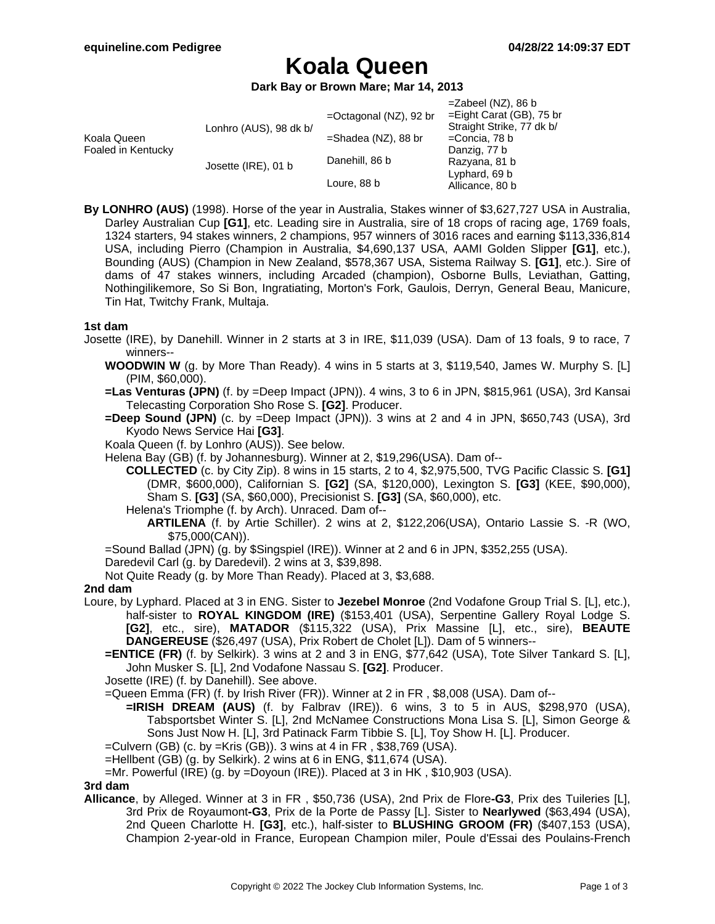# **Koala Queen**

**Dark Bay or Brown Mare; Mar 14, 2013**

|                                   |                        |                           | $=$ Zabeel (NZ), 86 b       |
|-----------------------------------|------------------------|---------------------------|-----------------------------|
| Koala Queen<br>Foaled in Kentucky | Lonhro (AUS), 98 dk b/ | $=$ Octagonal (NZ), 92 br | $=$ Eight Carat (GB), 75 br |
|                                   |                        |                           | Straight Strike, 77 dk b/   |
|                                   |                        | $=$ Shadea (NZ), 88 br    | =Concia, 78 b               |
|                                   | Josette (IRE), 01 b    |                           | Danzig, 77 b                |
|                                   |                        | Danehill, 86 b            | Razyana, 81 b               |
|                                   |                        |                           | Lyphard, 69 b               |
|                                   |                        | Loure, 88 b               | Allicance, 80 b             |
|                                   |                        |                           |                             |

**By LONHRO (AUS)** (1998). Horse of the year in Australia, Stakes winner of \$3,627,727 USA in Australia, Darley Australian Cup **[G1]**, etc. Leading sire in Australia, sire of 18 crops of racing age, 1769 foals, 1324 starters, 94 stakes winners, 2 champions, 957 winners of 3016 races and earning \$113,336,814 USA, including Pierro (Champion in Australia, \$4,690,137 USA, AAMI Golden Slipper **[G1]**, etc.), Bounding (AUS) (Champion in New Zealand, \$578,367 USA, Sistema Railway S. **[G1]**, etc.). Sire of dams of 47 stakes winners, including Arcaded (champion), Osborne Bulls, Leviathan, Gatting, Nothingilikemore, So Si Bon, Ingratiating, Morton's Fork, Gaulois, Derryn, General Beau, Manicure, Tin Hat, Twitchy Frank, Multaja.

#### **1st dam**

- Josette (IRE), by Danehill. Winner in 2 starts at 3 in IRE, \$11,039 (USA). Dam of 13 foals, 9 to race, 7 winners--
	- **WOODWIN W** (g. by More Than Ready). 4 wins in 5 starts at 3, \$119,540, James W. Murphy S. [L] (PIM, \$60,000).
	- **=Las Venturas (JPN)** (f. by =Deep Impact (JPN)). 4 wins, 3 to 6 in JPN, \$815,961 (USA), 3rd Kansai Telecasting Corporation Sho Rose S. **[G2]**. Producer.
	- **=Deep Sound (JPN)** (c. by =Deep Impact (JPN)). 3 wins at 2 and 4 in JPN, \$650,743 (USA), 3rd Kyodo News Service Hai **[G3]**.
	- Koala Queen (f. by Lonhro (AUS)). See below.
	- Helena Bay (GB) (f. by Johannesburg). Winner at 2, \$19,296(USA). Dam of--
		- **COLLECTED** (c. by City Zip). 8 wins in 15 starts, 2 to 4, \$2,975,500, TVG Pacific Classic S. **[G1]** (DMR, \$600,000), Californian S. **[G2]** (SA, \$120,000), Lexington S. **[G3]** (KEE, \$90,000), Sham S. **[G3]** (SA, \$60,000), Precisionist S. **[G3]** (SA, \$60,000), etc.
		- Helena's Triomphe (f. by Arch). Unraced. Dam of--
			- **ARTILENA** (f. by Artie Schiller). 2 wins at 2, \$122,206(USA), Ontario Lassie S. -R (WO, \$75,000(CAN)).
	- =Sound Ballad (JPN) (g. by \$Singspiel (IRE)). Winner at 2 and 6 in JPN, \$352,255 (USA).
	- Daredevil Carl (g. by Daredevil). 2 wins at 3, \$39,898.
	- Not Quite Ready (g. by More Than Ready). Placed at 3, \$3,688.

### **2nd dam**

- Loure, by Lyphard. Placed at 3 in ENG. Sister to **Jezebel Monroe** (2nd Vodafone Group Trial S. [L], etc.), half-sister to **ROYAL KINGDOM (IRE)** (\$153,401 (USA), Serpentine Gallery Royal Lodge S. **[G2]**, etc., sire), **MATADOR** (\$115,322 (USA), Prix Massine [L], etc., sire), **BEAUTE DANGEREUSE** (\$26,497 (USA), Prix Robert de Cholet [L]). Dam of 5 winners--
	- **=ENTICE (FR)** (f. by Selkirk). 3 wins at 2 and 3 in ENG, \$77,642 (USA), Tote Silver Tankard S. [L], John Musker S. [L], 2nd Vodafone Nassau S. **[G2]**. Producer.
	- Josette (IRE) (f. by Danehill). See above.
	- =Queen Emma (FR) (f. by Irish River (FR)). Winner at 2 in FR , \$8,008 (USA). Dam of--
		- **=IRISH DREAM (AUS)** (f. by Falbrav (IRE)). 6 wins, 3 to 5 in AUS, \$298,970 (USA), Tabsportsbet Winter S. [L], 2nd McNamee Constructions Mona Lisa S. [L], Simon George & Sons Just Now H. [L], 3rd Patinack Farm Tibbie S. [L], Toy Show H. [L]. Producer.
	- =Culvern (GB) (c. by =Kris (GB)). 3 wins at 4 in FR , \$38,769 (USA).
	- =Hellbent (GB) (g. by Selkirk). 2 wins at 6 in ENG, \$11,674 (USA).
	- =Mr. Powerful (IRE) (g. by =Doyoun (IRE)). Placed at 3 in HK , \$10,903 (USA).

#### **3rd dam**

**Allicance**, by Alleged. Winner at 3 in FR , \$50,736 (USA), 2nd Prix de Flore**-G3**, Prix des Tuileries [L], 3rd Prix de Royaumont**-G3**, Prix de la Porte de Passy [L]. Sister to **Nearlywed** (\$63,494 (USA), 2nd Queen Charlotte H. **[G3]**, etc.), half-sister to **BLUSHING GROOM (FR)** (\$407,153 (USA), Champion 2-year-old in France, European Champion miler, Poule d'Essai des Poulains-French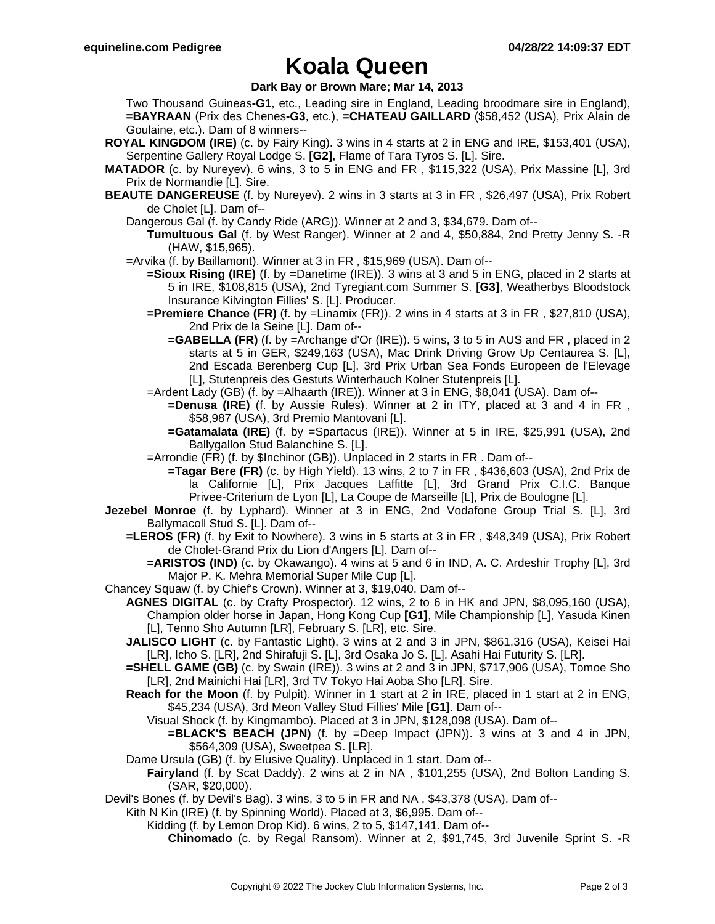# **Koala Queen**

**Dark Bay or Brown Mare; Mar 14, 2013**

Two Thousand Guineas**-G1**, etc., Leading sire in England, Leading broodmare sire in England), **=BAYRAAN** (Prix des Chenes**-G3**, etc.), **=CHATEAU GAILLARD** (\$58,452 (USA), Prix Alain de Goulaine, etc.). Dam of 8 winners--

- **ROYAL KINGDOM (IRE)** (c. by Fairy King). 3 wins in 4 starts at 2 in ENG and IRE, \$153,401 (USA), Serpentine Gallery Royal Lodge S. **[G2]**, Flame of Tara Tyros S. [L]. Sire.
- **MATADOR** (c. by Nureyev). 6 wins, 3 to 5 in ENG and FR , \$115,322 (USA), Prix Massine [L], 3rd Prix de Normandie [L]. Sire.
- **BEAUTE DANGEREUSE** (f. by Nureyev). 2 wins in 3 starts at 3 in FR , \$26,497 (USA), Prix Robert de Cholet [L]. Dam of--
	- Dangerous Gal (f. by Candy Ride (ARG)). Winner at 2 and 3, \$34,679. Dam of--
		- **Tumultuous Gal** (f. by West Ranger). Winner at 2 and 4, \$50,884, 2nd Pretty Jenny S. -R (HAW, \$15,965).
	- =Arvika (f. by Baillamont). Winner at 3 in FR , \$15,969 (USA). Dam of--
		- **=Sioux Rising (IRE)** (f. by =Danetime (IRE)). 3 wins at 3 and 5 in ENG, placed in 2 starts at 5 in IRE, \$108,815 (USA), 2nd Tyregiant.com Summer S. **[G3]**, Weatherbys Bloodstock Insurance Kilvington Fillies' S. [L]. Producer.
		- **=Premiere Chance (FR)** (f. by =Linamix (FR)). 2 wins in 4 starts at 3 in FR , \$27,810 (USA), 2nd Prix de la Seine [L]. Dam of--
			- **=GABELLA (FR)** (f. by =Archange d'Or (IRE)). 5 wins, 3 to 5 in AUS and FR , placed in 2 starts at 5 in GER, \$249,163 (USA), Mac Drink Driving Grow Up Centaurea S. [L], 2nd Escada Berenberg Cup [L], 3rd Prix Urban Sea Fonds Europeen de l'Elevage [L], Stutenpreis des Gestuts Winterhauch Kolner Stutenpreis [L].
		- =Ardent Lady (GB) (f. by =Alhaarth (IRE)). Winner at 3 in ENG, \$8,041 (USA). Dam of--
			- **=Denusa (IRE)** (f. by Aussie Rules). Winner at 2 in ITY, placed at 3 and 4 in FR. \$58,987 (USA), 3rd Premio Mantovani [L].
			- **=Gatamalata (IRE)** (f. by =Spartacus (IRE)). Winner at 5 in IRE, \$25,991 (USA), 2nd Ballygallon Stud Balanchine S. [L].
		- =Arrondie (FR) (f. by \$Inchinor (GB)). Unplaced in 2 starts in FR . Dam of--
			- **=Tagar Bere (FR)** (c. by High Yield). 13 wins, 2 to 7 in FR , \$436,603 (USA), 2nd Prix de la Californie [L], Prix Jacques Laffitte [L], 3rd Grand Prix C.I.C. Banque Privee-Criterium de Lyon [L], La Coupe de Marseille [L], Prix de Boulogne [L].
- **Jezebel Monroe** (f. by Lyphard). Winner at 3 in ENG, 2nd Vodafone Group Trial S. [L], 3rd Ballymacoll Stud S. [L]. Dam of--
	- **=LEROS (FR)** (f. by Exit to Nowhere). 3 wins in 5 starts at 3 in FR , \$48,349 (USA), Prix Robert de Cholet-Grand Prix du Lion d'Angers [L]. Dam of--
		- **=ARISTOS (IND)** (c. by Okawango). 4 wins at 5 and 6 in IND, A. C. Ardeshir Trophy [L], 3rd Major P. K. Mehra Memorial Super Mile Cup [L].
- Chancey Squaw (f. by Chief's Crown). Winner at 3, \$19,040. Dam of--
	- **AGNES DIGITAL** (c. by Crafty Prospector). 12 wins, 2 to 6 in HK and JPN, \$8,095,160 (USA), Champion older horse in Japan, Hong Kong Cup **[G1]**, Mile Championship [L], Yasuda Kinen [L], Tenno Sho Autumn [LR], February S. [LR], etc. Sire.
	- **JALISCO LIGHT** (c. by Fantastic Light). 3 wins at 2 and 3 in JPN, \$861,316 (USA), Keisei Hai [LR], Icho S. [LR], 2nd Shirafuji S. [L], 3rd Osaka Jo S. [L], Asahi Hai Futurity S. [LR].
	- **=SHELL GAME (GB)** (c. by Swain (IRE)). 3 wins at 2 and 3 in JPN, \$717,906 (USA), Tomoe Sho [LR], 2nd Mainichi Hai [LR], 3rd TV Tokyo Hai Aoba Sho [LR]. Sire.
	- **Reach for the Moon** (f. by Pulpit). Winner in 1 start at 2 in IRE, placed in 1 start at 2 in ENG, \$45,234 (USA), 3rd Meon Valley Stud Fillies' Mile **[G1]**. Dam of--
		- Visual Shock (f. by Kingmambo). Placed at 3 in JPN, \$128,098 (USA). Dam of--
			- **=BLACK'S BEACH (JPN)** (f. by =Deep Impact (JPN)). 3 wins at 3 and 4 in JPN, \$564,309 (USA), Sweetpea S. [LR].
	- Dame Ursula (GB) (f. by Elusive Quality). Unplaced in 1 start. Dam of--
		- **Fairyland** (f. by Scat Daddy). 2 wins at 2 in NA , \$101,255 (USA), 2nd Bolton Landing S. (SAR, \$20,000).
- Devil's Bones (f. by Devil's Bag). 3 wins, 3 to 5 in FR and NA , \$43,378 (USA). Dam of--
	- Kith N Kin (IRE) (f. by Spinning World). Placed at 3, \$6,995. Dam of--
		- Kidding (f. by Lemon Drop Kid). 6 wins, 2 to 5, \$147,141. Dam of--
			- **Chinomado** (c. by Regal Ransom). Winner at 2, \$91,745, 3rd Juvenile Sprint S. -R